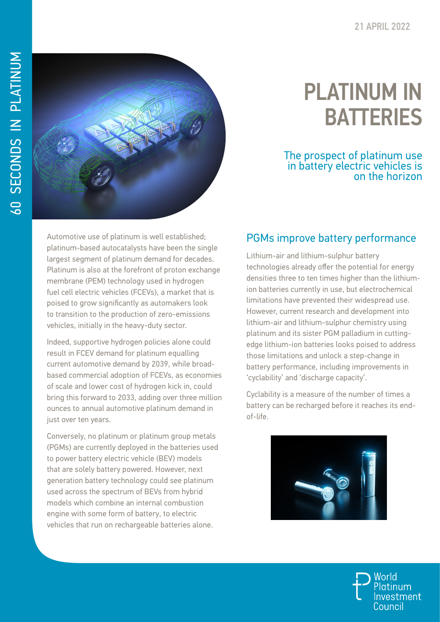

## PLATINUM IN **BATTERIES**

## The prospect of platinum use in battery electric vehicles is on the horizon

Automotive use of platinum is well established; platinum-based autocatalysts have been the single largest segment of platinum demand for decades. Platinum is also at the forefront of proton exchange membrane (PEM) technology used in hydrogen fuel cell electric vehicles (FCEVs), a market that is poised to grow significantly as automakers look to transition to the production of zero-emissions vehicles, initially in the heavy-duty sector.

Indeed, supportive hydrogen policies alone could result in FCEV demand for platinum equalling current automotive demand by 2039, while broadbased commercial adoption of FCEVs, as economies of scale and lower cost of hydrogen kick in, could bring this forward to 2033, adding over three million ounces to annual automotive platinum demand in just over ten years.

Conversely, no platinum or platinum group metals (PGMs) are currently deployed in the batteries used to power battery electric vehicle (BEV) models that are solely battery powered. However, next generation battery technology could see platinum used across the spectrum of BEVs from hybrid models which combine an internal combustion engine with some form of battery, to electric vehicles that run on rechargeable batteries alone.

## PGMs improve battery performance

Lithium-air and lithium-sulphur battery technologies already offer the potential for energy densities three to ten times higher than the lithiumion batteries currently in use, but electrochemical limitations have prevented their widespread use. However, current research and development into lithium-air and lithium-sulphur chemistry using platinum and its sister PGM palladium in cuttingedge lithium-ion batteries looks poised to address those limitations and unlock a step-change in battery performance, including improvements in 'cyclability' and 'discharge capacity'.

Cyclability is a measure of the number of times a battery can be recharged before it reaches its endof-life.